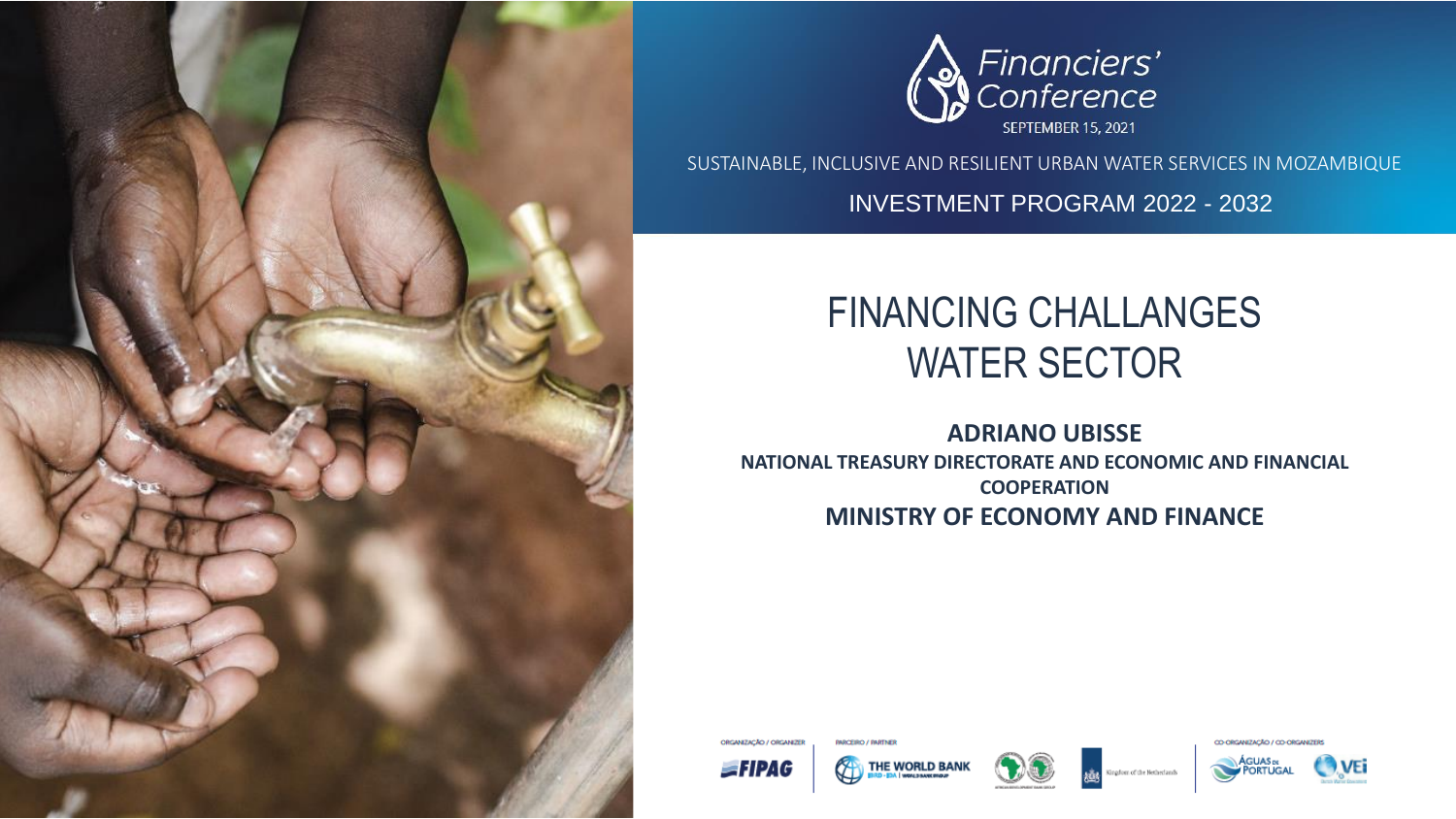



SUSTAINABLE, INCLUSIVE AND RESILIENT URBAN WATER SERVICES IN MOZAMBIQUE

INVESTMENT PROGRAM 2022 - 2032

### FINANCING CHALLANGES WATER SECTOR

**ADRIANO UBISSE NATIONAL TREASURY DIRECTORATE AND ECONOMIC AND FINANCIAL COOPERATION MINISTRY OF ECONOMY AND FINANCE** 







CO-ORGANIZAÇÃO / CO-ORGANIZERS



*<u>IMACEIRO / IMATNER</u>*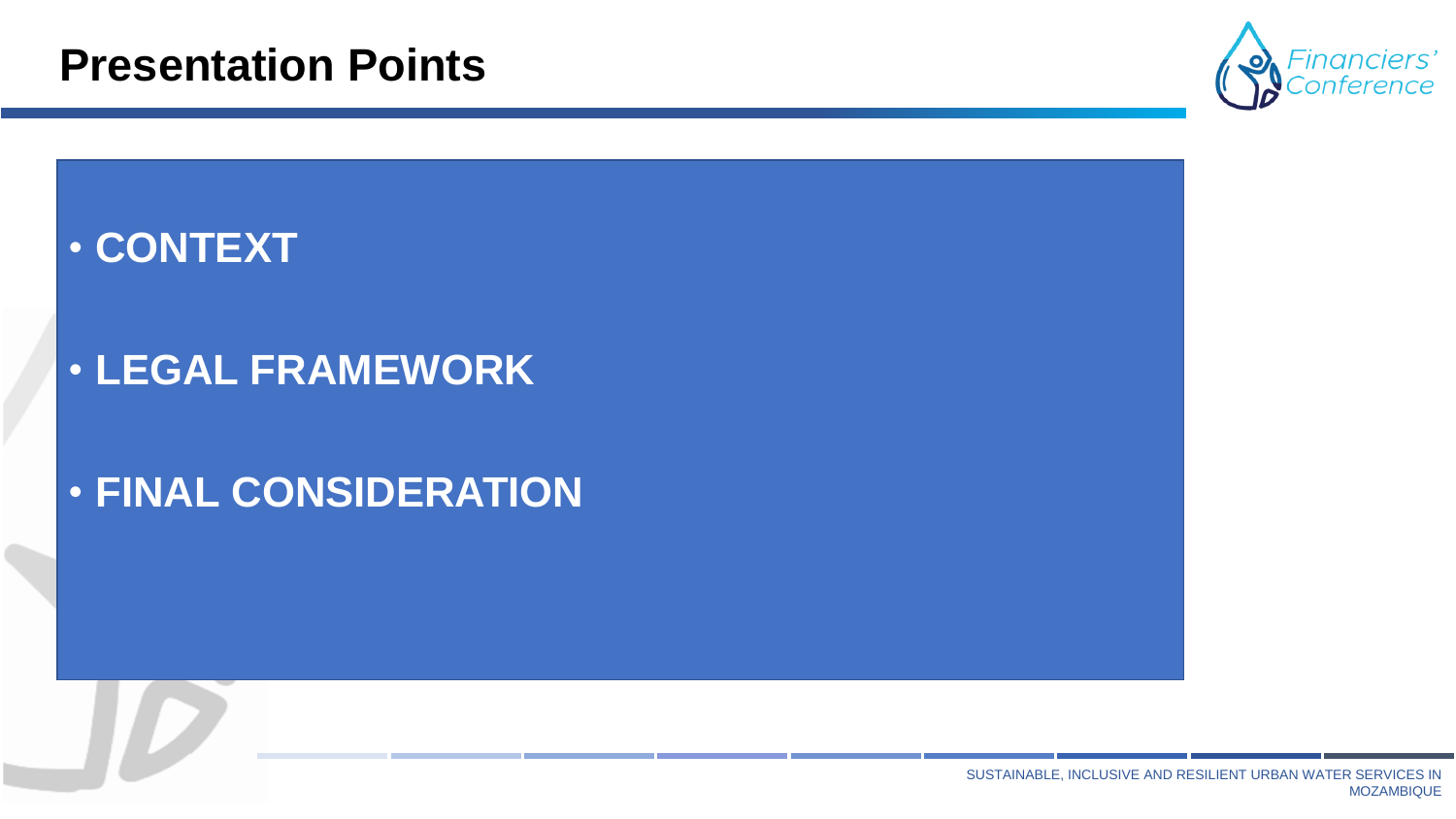#### **Presentation Points**



### • **CONTEXT**

### • **LEGAL FRAMEWORK**

### • **FINAL CONSIDERATION**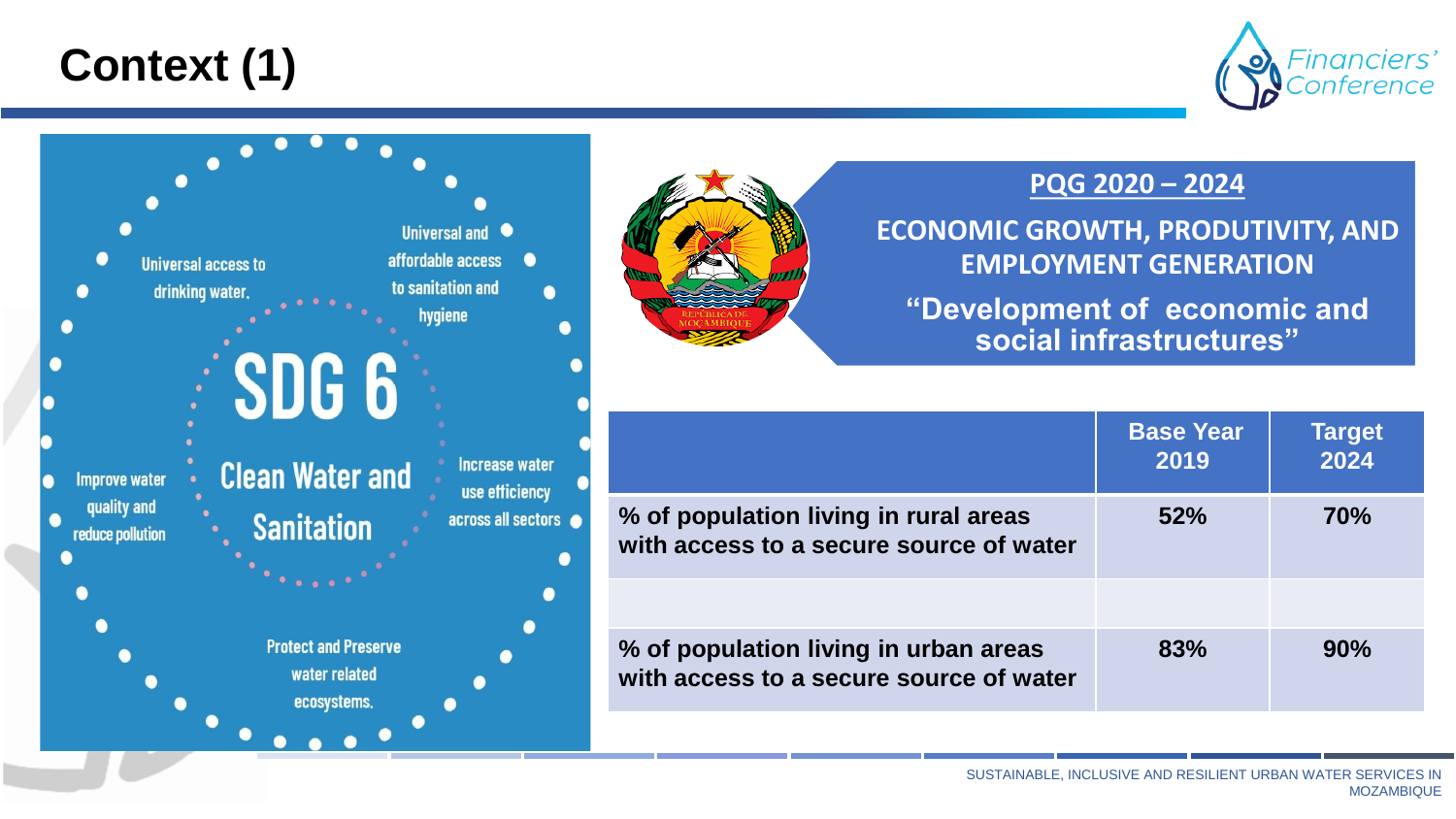## **Context (1)**



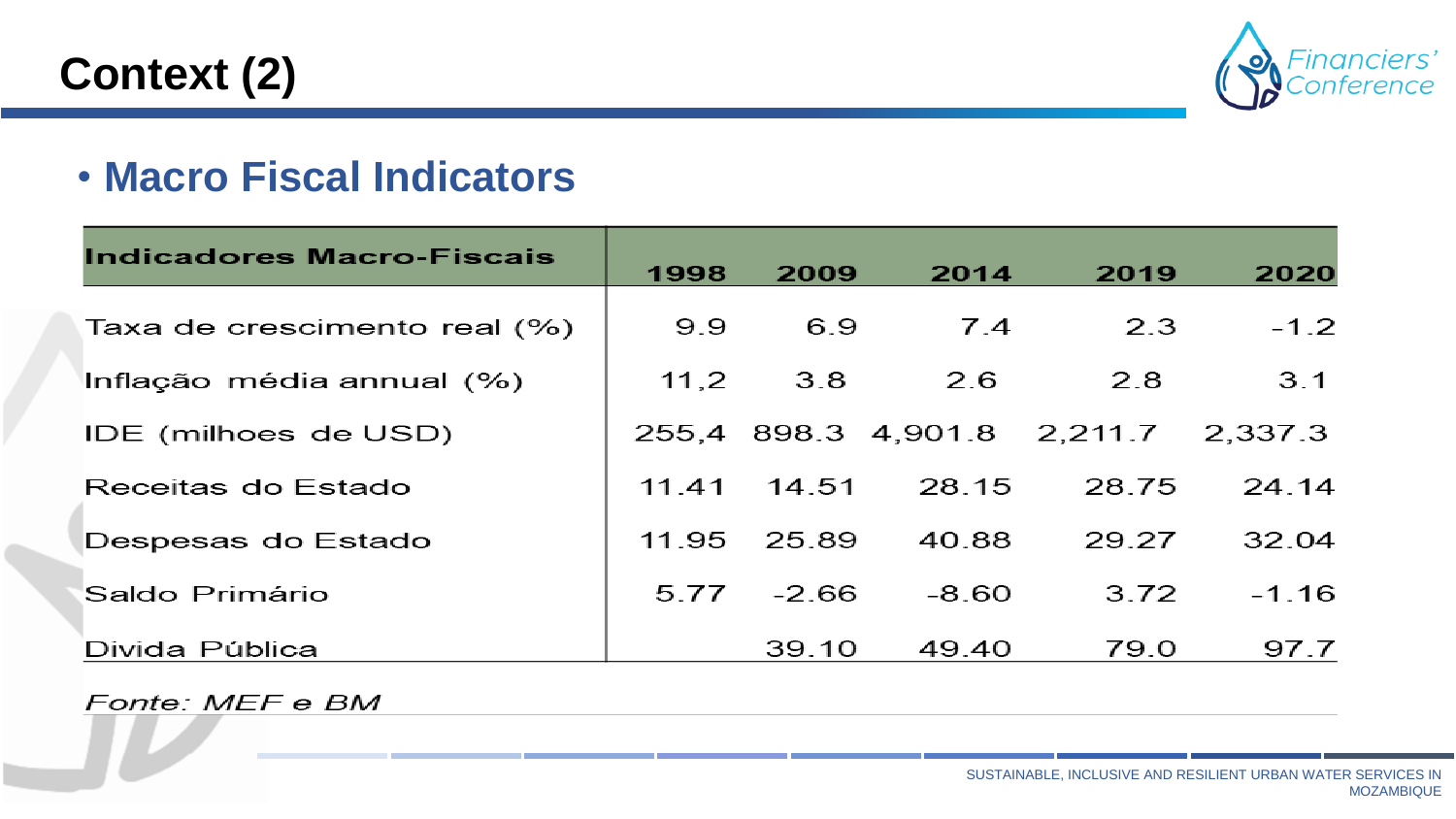## **Context (2)**



#### • **Macro Fiscal Indicators**

| <b>Indicadores Macro-Fiscais</b> | 1998  | 2009    | 2014    | 2019                                | 2020    |
|----------------------------------|-------|---------|---------|-------------------------------------|---------|
| Taxa de crescimento real (%)     | 9.9   | 6.9     | 7.4     | 2.3                                 | $-1.2$  |
| Inflação média annual (%)        | 11,2  | 3.8     | 2.6     | 2.8                                 | 3.1     |
| IDE (milhoes de USD)             |       |         |         | 255,4 898.3 4,901.8 2,211.7 2,337.3 |         |
| Receitas do Estado               | 11.41 | 14.51   | 28.15   | 28.75                               | 24.14   |
| Despesas do Estado               | 11.95 | 25.89   | 40.88   | 29.27                               | 32.04   |
| Saldo Primário                   | 5.77  | $-2.66$ | $-8.60$ | 3.72                                | $-1.16$ |
| Divida Pública                   |       | 39.10   | 49.40   | 79.0                                | 97.7    |

Fonte: MEF e BM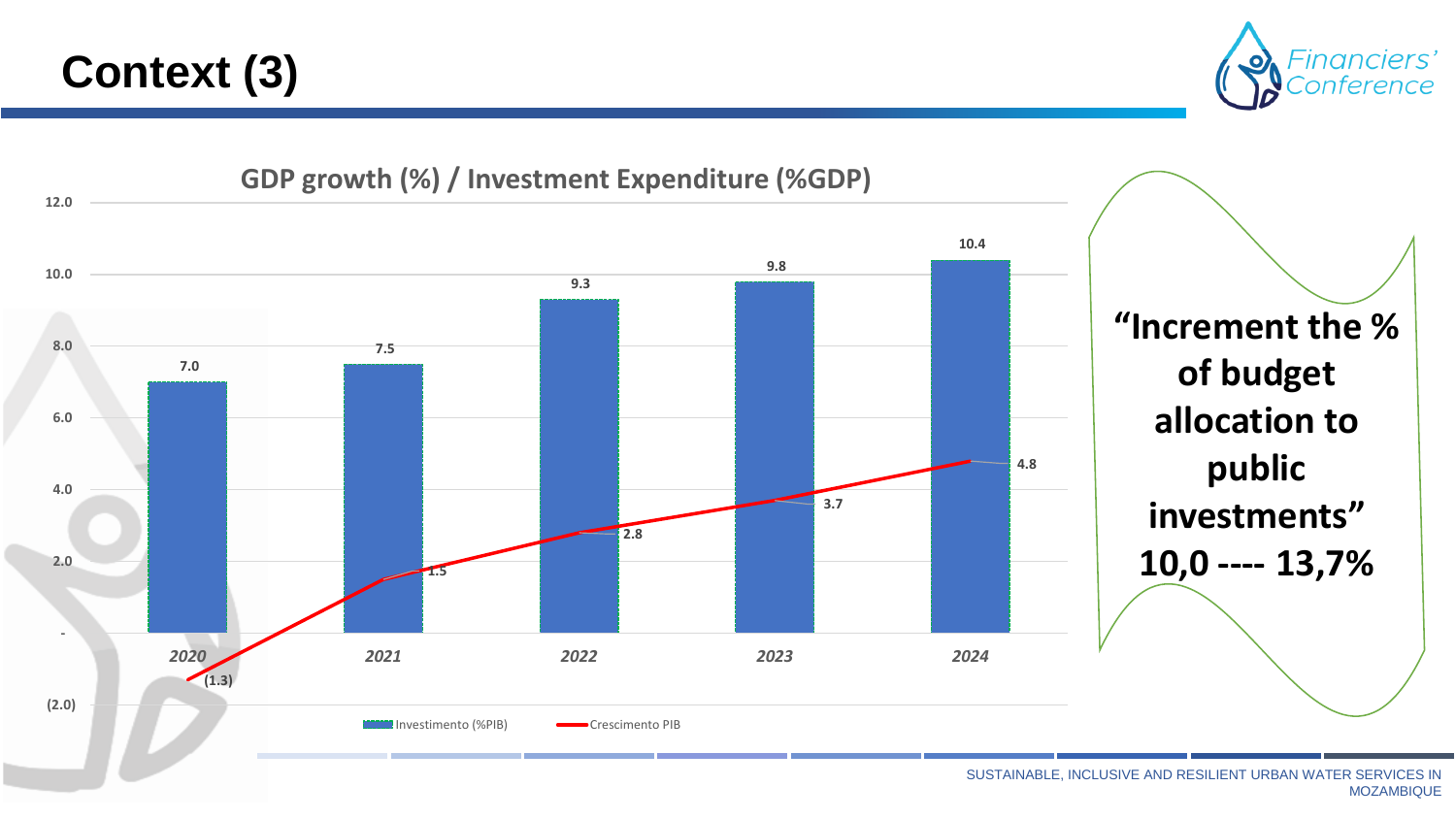## **Context (3)**



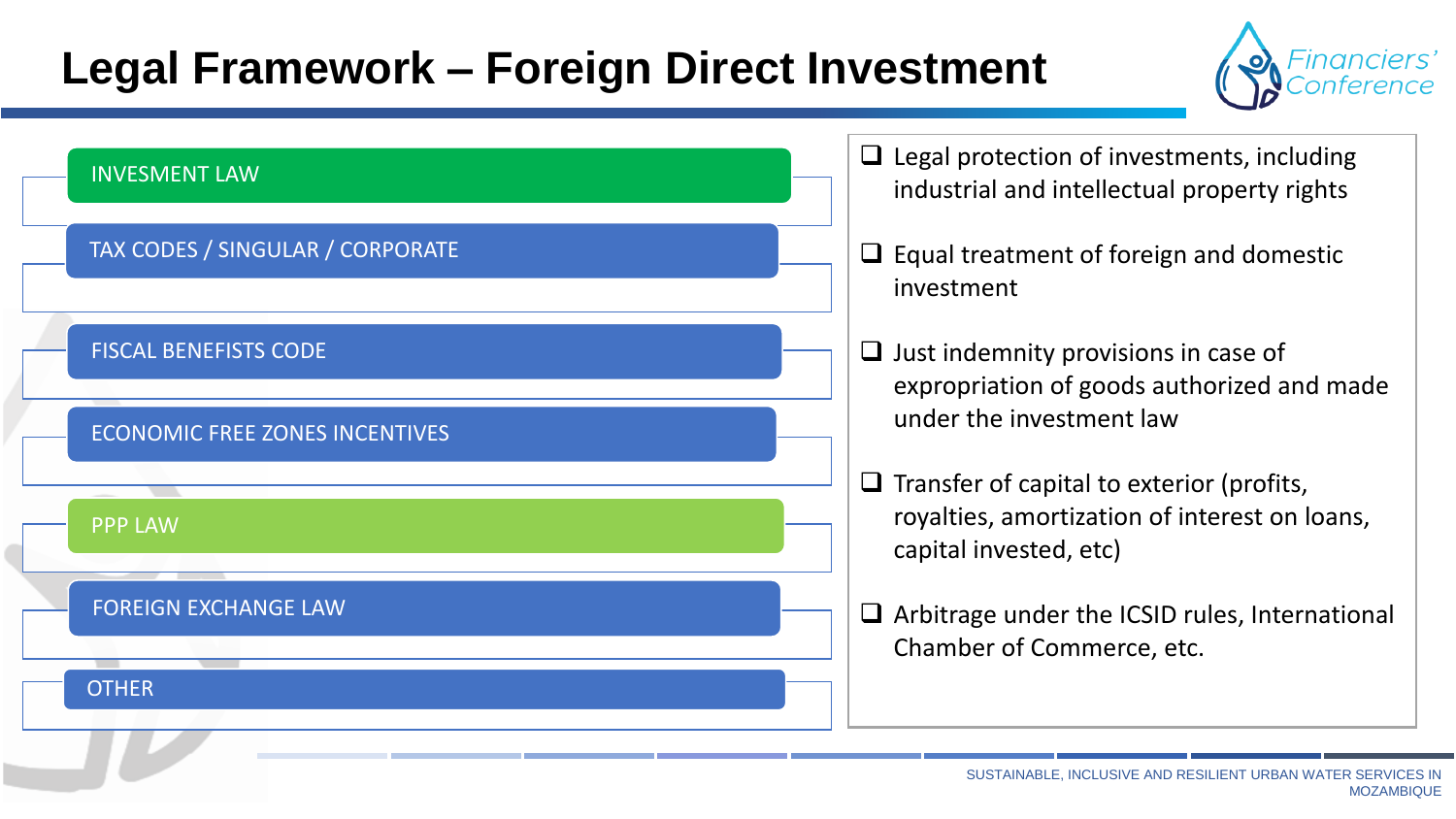## **Legal Framework – Foreign Direct Investment**



| <b>INVESMENT LAW</b>                    | $\Box$ Legal protection of investments, including<br>industrial and intellectual property rights                            |
|-----------------------------------------|-----------------------------------------------------------------------------------------------------------------------------|
| <b>TAX CODES / SINGULAR / CORPORATE</b> | $\Box$ Equal treatment of foreign and domestic<br>investment                                                                |
| <b>FISCAL BENEFISTS CODE</b>            | $\Box$ Just indemnity provisions in case of<br>expropriation of goods authorized and made                                   |
| <b>ECONOMIC FREE ZONES INCENTIVES</b>   | under the investment law                                                                                                    |
| <b>PPP LAW</b>                          | $\Box$ Transfer of capital to exterior (profits,<br>royalties, amortization of interest on loans,<br>capital invested, etc) |
| <b>FOREIGN EXCHANGE LAW</b>             | $\Box$ Arbitrage under the ICSID rules, International<br>Chamber of Commerce, etc.                                          |
| <b>OTHER</b>                            |                                                                                                                             |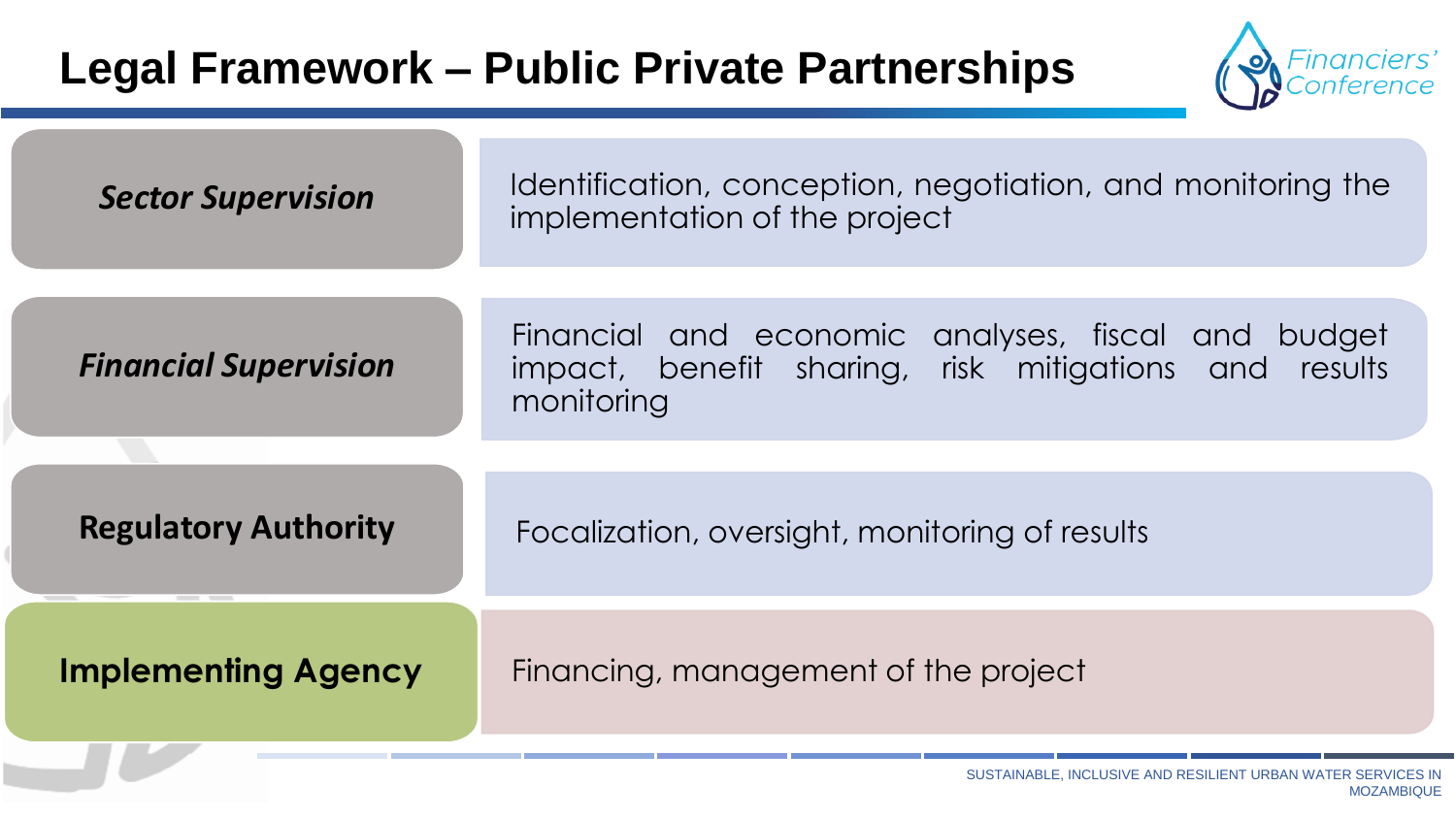## **Legal Framework – Public Private Partnerships**



| <b>Sector Supervision</b>    | Identification, conception, negotiation, and monitoring the<br>implementation of the project                              |
|------------------------------|---------------------------------------------------------------------------------------------------------------------------|
| <b>Financial Supervision</b> | Financial and economic analyses, fiscal and budget<br>impact, benefit sharing, risk mitigations and results<br>monitoring |
| <b>Regulatory Authority</b>  | Focalization, oversight, monitoring of results                                                                            |
| <b>Implementing Agency</b>   | Financing, management of the project                                                                                      |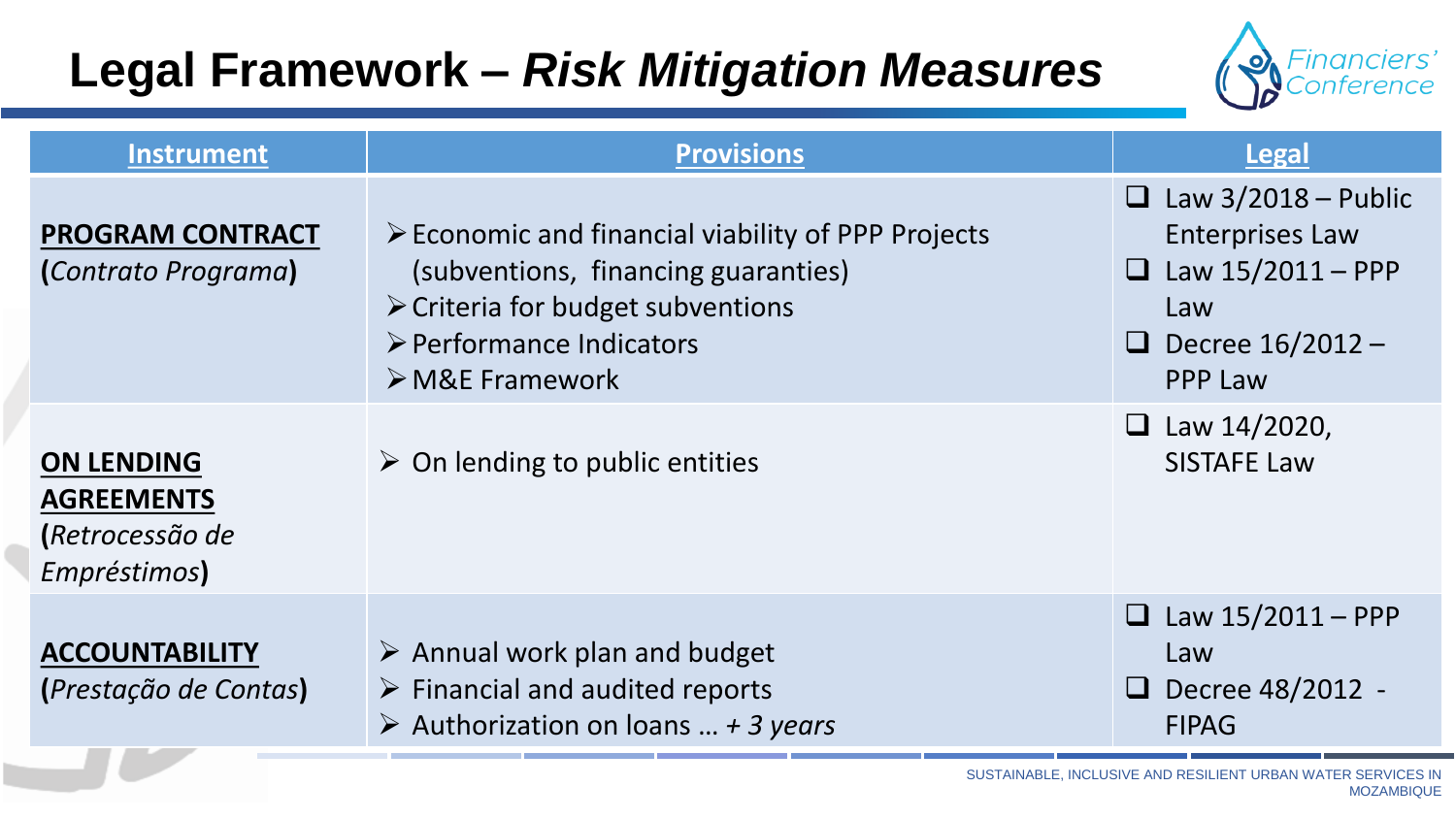# **Legal Framework –** *Risk Mitigation Measures*



| <b>Instrument</b>                                                         | <b>Provisions</b>                                                                                                                                                                                                          | <b>Legal</b>                                                                                                                                        |
|---------------------------------------------------------------------------|----------------------------------------------------------------------------------------------------------------------------------------------------------------------------------------------------------------------------|-----------------------------------------------------------------------------------------------------------------------------------------------------|
| <b>PROGRAM CONTRACT</b><br>(Contrato Programa)                            | $\triangleright$ Economic and financial viability of PPP Projects<br>(subventions, financing guaranties)<br>$\triangleright$ Criteria for budget subventions<br>▶ Performance Indicators<br>$\triangleright$ M&E Framework | Law $3/2018$ – Public<br>$\Box$<br><b>Enterprises Law</b><br>Law $15/2011 - PPP$<br>$\sqcup$<br>Law<br>Decree 16/2012 -<br>$\Box$<br><b>PPP Law</b> |
| <b>ON LENDING</b><br><b>AGREEMENTS</b><br>(Retrocessão de<br>Empréstimos) | $\triangleright$ On lending to public entities                                                                                                                                                                             | <b><math>\Box</math></b> Law 14/2020,<br><b>SISTAFE Law</b>                                                                                         |
| <b>ACCOUNTABILITY</b><br>(Prestação de Contas)                            | $\triangleright$ Annual work plan and budget<br>$\triangleright$ Financial and audited reports<br>$\triangleright$ Authorization on loans  + 3 years                                                                       | Law $15/2011 - PPP$<br>$\Box$<br>Law<br>$\Box$ Decree 48/2012 -<br><b>FIPAG</b>                                                                     |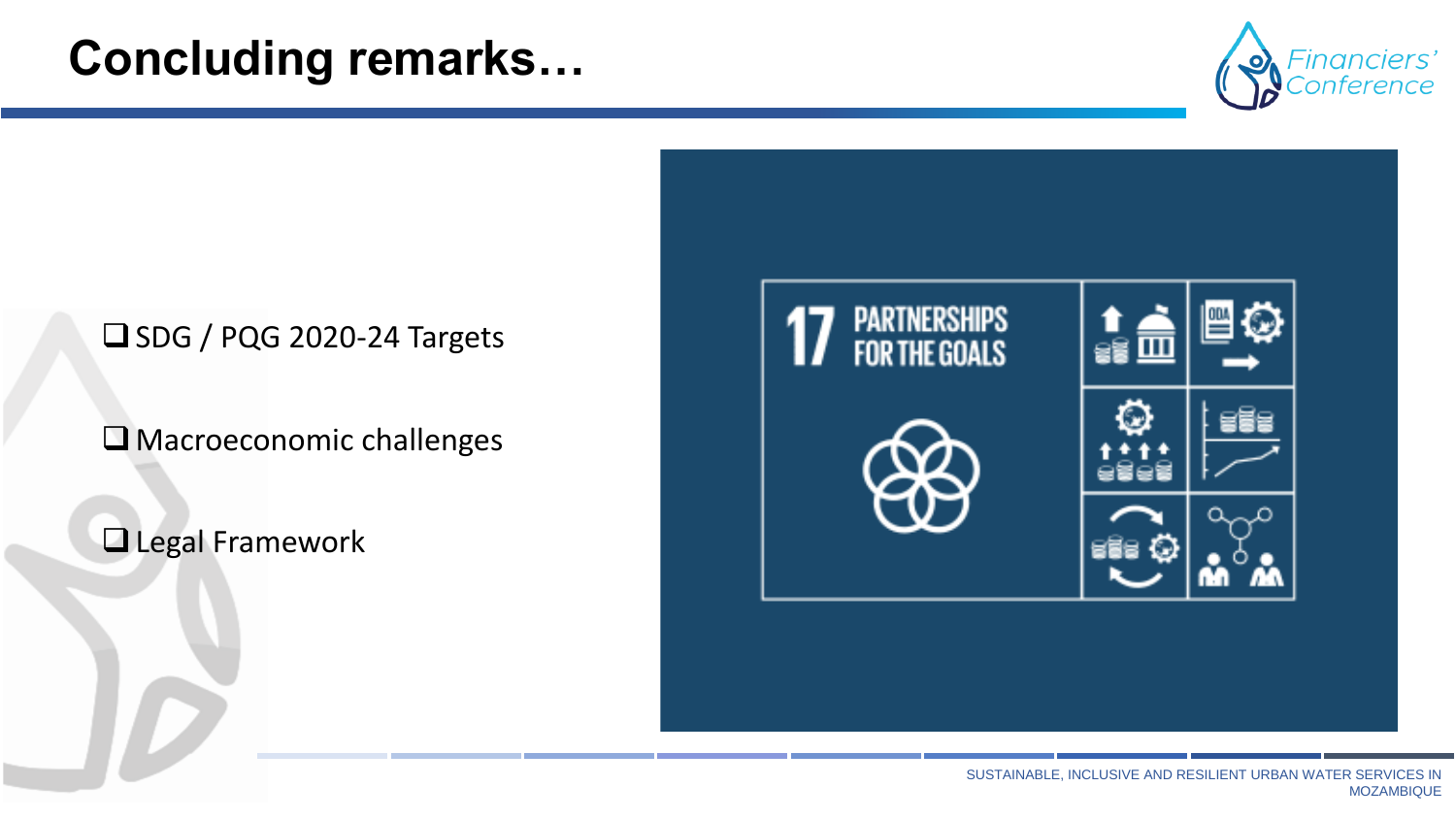## **Concluding remarks…**



#### ❑SDG / PQG 2020-24 Targets

□ Macroeconomic challenges

#### ❑Legal Framework